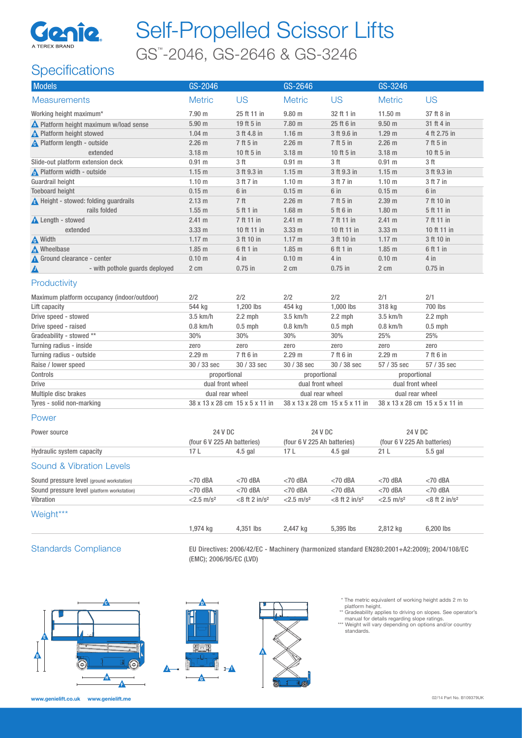

# Self-Propelled Scissor Lifts

GS™ -2046, GS-2646 & GS-3246

## **Specifications**

| <b>Models</b>                               | GS-2046                        |                     | GS-2646                        |                     | GS-3246                        |                     |
|---------------------------------------------|--------------------------------|---------------------|--------------------------------|---------------------|--------------------------------|---------------------|
| Measurements                                | <b>Metric</b>                  | <b>US</b>           | <b>Metric</b>                  | <b>US</b>           | <b>Metric</b>                  | <b>US</b>           |
| Working height maximum*                     | 7.90 m                         | 25 ft 11 in         | 9.80 <sub>m</sub>              | 32 ft 1 in          | 11.50 m                        | 37 ft 8 in          |
| △ Platform height maximum w/load sense      | $5.90$ m                       | 19 ft 5 in          | 7.80 m                         | 25 ft 6 in          | 9.50 <sub>m</sub>              | 31 ft 4 in          |
| <b>A</b> Platform height stowed             | $1.04$ m                       | 3 ft 4.8 in         | 1.16 <sub>m</sub>              | 3 ft 9.6 in         | 1.29 <sub>m</sub>              | 4 ft 2.75 in        |
| A Platform length - outside                 | $2.26$ m                       | 7 ft 5 in           | 2.26 <sub>m</sub>              | 7 ft 5 in           | 2.26 <sub>m</sub>              | 7 ft 5 in           |
| extended                                    | 3.18 <sub>m</sub>              | 10 ft 5 in          | 3.18 <sub>m</sub>              | 10 ft 5 in          | 3.18 <sub>m</sub>              | 10 ft 5 in          |
| Slide-out platform extension deck           | $0.91$ m                       | 3 <sub>ft</sub>     | $0.91$ m                       | 3 ft                | $0.91$ m                       | 3 ft                |
| <b>A</b> Platform width - outside           | 1.15 <sub>m</sub>              | 3 ft 9.3 in         | 1.15 <sub>m</sub>              | 3 ft 9.3 in         | 1.15 m                         | 3 ft 9.3 in         |
| Guardrail height                            | 1.10 <sub>m</sub>              | 3 ft 7 in           | 1.10 <sub>m</sub>              | 3 ft 7 in           | 1.10 <sub>m</sub>              | 3 ft 7 in           |
| <b>Toeboard height</b>                      | 0.15 m                         | 6 in                | 0.15 <sub>m</sub>              | 6 in                | $0.15$ m                       | 6 in                |
| A Height - stowed: folding guardrails       | 2.13 m                         | 7 <sup>ft</sup>     | 2.26 <sub>m</sub>              | 7 ft 5 in           | 2.39 <sub>m</sub>              | 7 ft 10 in          |
| rails folded                                | $1.55$ m                       | 5 ft 1 in           | $1.68$ m                       | 5 ft 6 in           | 1.80 <sub>m</sub>              | 5 ft 11 in          |
| <b>A</b> Length - stowed                    | $2.41 \text{ m}$               | 7 ft 11 in          | 2.41 m                         | 7 ft 11 in          | 2.41 m                         | 7 ft 11 in          |
| extended                                    | 3.33 m                         | 10 ft 11 in         | 3.33 m                         | 10 ft 11 in         | 3.33 m                         | 10 ft 11 in         |
| <b>A</b> Width                              | 1.17 <sub>m</sub>              | 3 ft 10 in          | 1.17 m                         | 3 ft 10 in          | 1.17 m                         | 3 ft 10 in          |
| <b>M</b> Wheelbase                          | $1.85$ m                       | 6 ft 1 in           | $1.85$ m                       | 6 ft 1 in           | $1.85$ m                       | 6 ft 1 in           |
| Ground clearance - center                   | 0.10 <sub>m</sub>              | 4 in                | 0.10 <sub>m</sub>              | 4 in                | 0.10 <sub>m</sub>              | 4 in                |
| - with pothole guards deployed<br>Δ         | 2 cm                           | $0.75$ in           | 2 cm                           | $0.75$ in           | 2 cm                           | $0.75$ in           |
| Productivity                                |                                |                     |                                |                     |                                |                     |
| Maximum platform occupancy (indoor/outdoor) | 2/2                            | 2/2                 | 2/2                            | 2/2                 | 2/1                            | 2/1                 |
| Lift capacity                               | 544 kg                         | 1,200 lbs           | 454 kg                         | 1,000 lbs           | 318 kg                         | 700 lbs             |
| Drive speed - stowed                        | 3.5 km/h                       | $2.2$ mph           | 3.5 km/h                       | $2.2$ mph           | 3.5 km/h                       | $2.2$ mph           |
| Drive speed - raised                        | $0.8$ km/h                     | $0.5$ mph           | $0.8$ km/h                     | $0.5$ mph           | $0.8$ km/h                     | $0.5$ mph           |
| Gradeability - stowed **                    | 30%                            | 30%                 | 30%                            | 30%                 | 25%                            | 25%                 |
| Turning radius - inside                     | zero                           | zero                | zero                           | zero                | zero                           | zero                |
| Turning radius - outside                    | 2.29 m                         | 7 ft 6 in           | 2.29 <sub>m</sub>              | 7 ft 6 in           | 2.29 <sub>m</sub>              | 7 ft 6 in           |
| Raise / lower speed                         | 30 / 33 sec                    | 30 / 33 sec         | 30 / 38 sec                    | 30 / 38 sec         | 57 / 35 sec                    | 57 / 35 sec         |
| Controls                                    | proportional                   |                     | proportional                   |                     | proportional                   |                     |
| <b>Drive</b>                                | dual front wheel               |                     | dual front wheel               |                     | dual front wheel               |                     |
| Multiple disc brakes                        | dual rear wheel                |                     | dual rear wheel                |                     | dual rear wheel                |                     |
| Tyres - solid non-marking                   | 38 x 13 x 28 cm 15 x 5 x 11 in |                     | 38 x 13 x 28 cm 15 x 5 x 11 in |                     | 38 x 13 x 28 cm 15 x 5 x 11 in |                     |
| Power                                       |                                |                     |                                |                     |                                |                     |
| Power source                                | 24 V DC                        |                     | <b>24 V DC</b>                 |                     | 24 V DC                        |                     |
|                                             | (four 6 V 225 Ah batteries)    |                     | (four 6 V 225 Ah batteries)    |                     | (four 6 V 225 Ah batteries)    |                     |
| Hydraulic system capacity                   | 17L                            | $4.5$ gal           | 17L                            | $4.5$ gal           | 21L                            | $5.5$ gal           |
| <b>Sound &amp; Vibration Levels</b>         |                                |                     |                                |                     |                                |                     |
| Sound pressure level (ground workstation)   | $<$ 70 dBA                     | $<$ 70 dBA          | $<$ 70 dBA                     | $<$ 70 dBA          | $<$ 70 dBA                     | $<$ 70 dBA          |
| Sound pressure level (platform workstation) | $<$ 70 dBA                     | $<$ 70 dBA          | $<$ 70 dBA                     | $<$ 70 dBA          | $<$ 70 dBA                     | $<$ 70 dBA          |
| Vibration                                   | $<$ 2.5 m/s <sup>2</sup>       | $<8$ ft 2 in/ $s^2$ | $<$ 2.5 m/s <sup>2</sup>       | $<8$ ft 2 in/ $s^2$ | $<$ 2.5 m/s <sup>2</sup>       | $<8$ ft 2 in/ $s^2$ |
| Weight***                                   |                                |                     |                                |                     |                                |                     |
|                                             | 1,974 kg                       | 4,351 lbs           | 2,447 kg                       | 5,395 lbs           | 2,812 kg                       | 6,200 lbs           |
|                                             |                                |                     |                                |                     |                                |                     |

Standards Compliance EU Directives: 2006/42/EC - Machinery (harmonized standard EN280:2001+A2:2009); 2004/108/EC (EMC); 2006/95/EC (LVD)







\* The metric equivalent of working height adds 2 m to

platform height.<br>\*\* Gradeability applies to driving on slopes. See operator's<br>manual for details regarding slope ratings.<br>\*\*\* Weight will vary depending on options and/or country<br>standards.